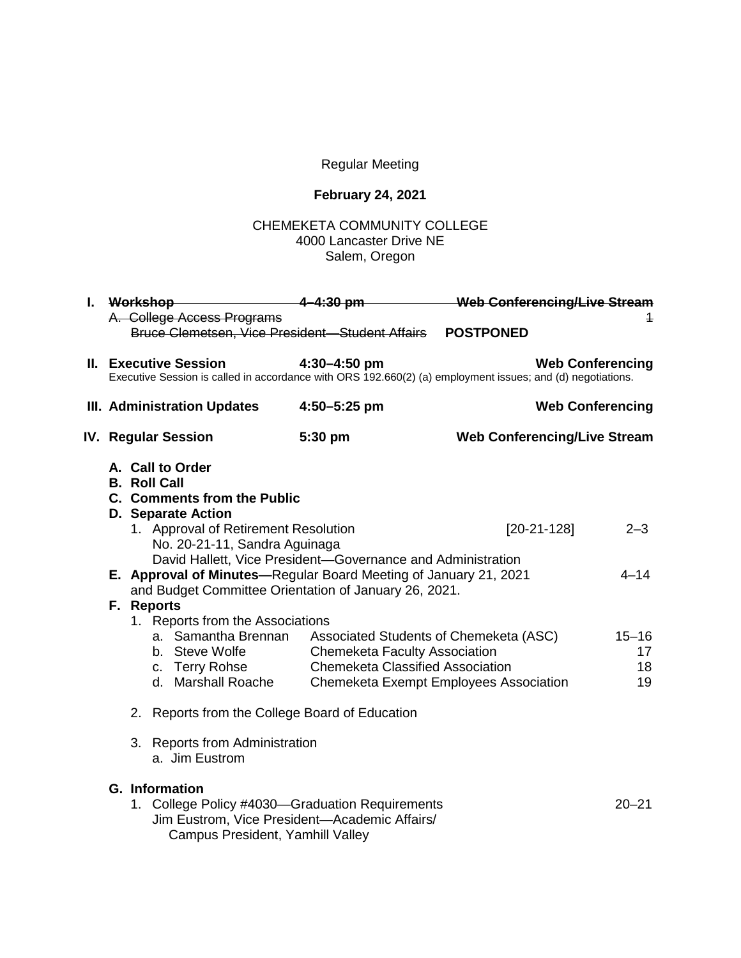## Regular Meeting

## **February 24, 2021**

## CHEMEKETA COMMUNITY COLLEGE 4000 Lancaster Drive NE Salem, Oregon

| I. Workshop-                                                                                                                                                      |  |                                                                                                                                                               |                                                                                 |                                                                                                            | Web Conferencing/Live Stream |  |
|-------------------------------------------------------------------------------------------------------------------------------------------------------------------|--|---------------------------------------------------------------------------------------------------------------------------------------------------------------|---------------------------------------------------------------------------------|------------------------------------------------------------------------------------------------------------|------------------------------|--|
|                                                                                                                                                                   |  | A. College Access Programs<br>Bruce Clemetsen, Vice President-Student Affairs                                                                                 |                                                                                 | <b>POSTPONED</b>                                                                                           | 1                            |  |
|                                                                                                                                                                   |  | <b>II.</b> Executive Session                                                                                                                                  | $4:30 - 4:50$ pm                                                                | Executive Session is called in accordance with ORS 192.660(2) (a) employment issues; and (d) negotiations. | <b>Web Conferencing</b>      |  |
| III. Administration Updates                                                                                                                                       |  |                                                                                                                                                               | 4:50-5:25 pm                                                                    | <b>Web Conferencing</b>                                                                                    |                              |  |
| <b>IV. Regular Session</b>                                                                                                                                        |  |                                                                                                                                                               | 5:30 pm                                                                         | <b>Web Conferencing/Live Stream</b>                                                                        |                              |  |
|                                                                                                                                                                   |  | A. Call to Order<br><b>B. Roll Call</b><br><b>C. Comments from the Public</b>                                                                                 |                                                                                 |                                                                                                            |                              |  |
| <b>D. Separate Action</b><br>1. Approval of Retirement Resolution<br>No. 20-21-11, Sandra Aguinaga<br>David Hallett, Vice President-Governance and Administration |  | $[20-21-128]$                                                                                                                                                 | $2 - 3$                                                                         |                                                                                                            |                              |  |
|                                                                                                                                                                   |  | E. Approval of Minutes-Regular Board Meeting of January 21, 2021<br>and Budget Committee Orientation of January 26, 2021.                                     |                                                                                 |                                                                                                            | $4 - 14$                     |  |
| F. Reports                                                                                                                                                        |  |                                                                                                                                                               |                                                                                 |                                                                                                            |                              |  |
| 1. Reports from the Associations                                                                                                                                  |  |                                                                                                                                                               |                                                                                 |                                                                                                            |                              |  |
|                                                                                                                                                                   |  | a. Samantha Brennan<br>b. Steve Wolfe<br>c. Terry Rohse<br>d. Marshall Roache                                                                                 | <b>Chemeketa Faculty Association</b><br><b>Chemeketa Classified Association</b> | Associated Students of Chemeketa (ASC)<br>Chemeketa Exempt Employees Association                           | $15 - 16$<br>17<br>18<br>19  |  |
|                                                                                                                                                                   |  |                                                                                                                                                               |                                                                                 |                                                                                                            |                              |  |
| 2. Reports from the College Board of Education                                                                                                                    |  |                                                                                                                                                               |                                                                                 |                                                                                                            |                              |  |
|                                                                                                                                                                   |  | 3. Reports from Administration<br>a. Jim Eustrom                                                                                                              |                                                                                 |                                                                                                            |                              |  |
|                                                                                                                                                                   |  | <b>G.</b> Information<br>1. College Policy #4030-Graduation Requirements<br>Jim Eustrom, Vice President-Academic Affairs/<br>Campus President, Yamhill Valley |                                                                                 |                                                                                                            | $20 - 21$                    |  |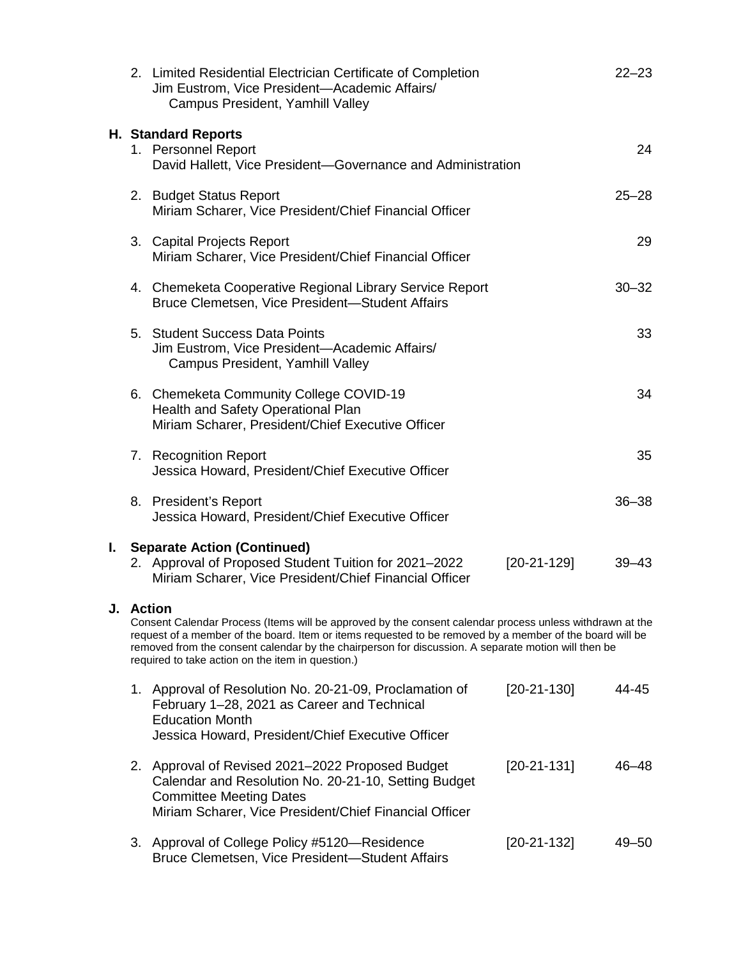|    |                                                                                                                                                                                                                                                                                                                                                                                                   | 2. Limited Residential Electrician Certificate of Completion<br>Jim Eustrom, Vice President-Academic Affairs/<br>Campus President, Yamhill Valley                                                    |               | $22 - 23$ |  |  |
|----|---------------------------------------------------------------------------------------------------------------------------------------------------------------------------------------------------------------------------------------------------------------------------------------------------------------------------------------------------------------------------------------------------|------------------------------------------------------------------------------------------------------------------------------------------------------------------------------------------------------|---------------|-----------|--|--|
|    |                                                                                                                                                                                                                                                                                                                                                                                                   | <b>H. Standard Reports</b><br>1. Personnel Report<br>David Hallett, Vice President-Governance and Administration                                                                                     |               | 24        |  |  |
|    |                                                                                                                                                                                                                                                                                                                                                                                                   | 2. Budget Status Report<br>Miriam Scharer, Vice President/Chief Financial Officer                                                                                                                    |               | $25 - 28$ |  |  |
|    |                                                                                                                                                                                                                                                                                                                                                                                                   | 3. Capital Projects Report<br>Miriam Scharer, Vice President/Chief Financial Officer                                                                                                                 |               | 29        |  |  |
|    |                                                                                                                                                                                                                                                                                                                                                                                                   | 4. Chemeketa Cooperative Regional Library Service Report<br>Bruce Clemetsen, Vice President-Student Affairs                                                                                          |               | $30 - 32$ |  |  |
|    |                                                                                                                                                                                                                                                                                                                                                                                                   | 5. Student Success Data Points<br>Jim Eustrom, Vice President-Academic Affairs/<br>Campus President, Yamhill Valley                                                                                  |               | 33        |  |  |
|    |                                                                                                                                                                                                                                                                                                                                                                                                   | 6. Chemeketa Community College COVID-19<br>Health and Safety Operational Plan<br>Miriam Scharer, President/Chief Executive Officer                                                                   |               | 34        |  |  |
|    |                                                                                                                                                                                                                                                                                                                                                                                                   | 7. Recognition Report<br>Jessica Howard, President/Chief Executive Officer                                                                                                                           |               | 35        |  |  |
|    |                                                                                                                                                                                                                                                                                                                                                                                                   | 8. President's Report<br>Jessica Howard, President/Chief Executive Officer                                                                                                                           |               | $36 - 38$ |  |  |
| L. |                                                                                                                                                                                                                                                                                                                                                                                                   | <b>Separate Action (Continued)</b><br>2. Approval of Proposed Student Tuition for 2021-2022<br>Miriam Scharer, Vice President/Chief Financial Officer                                                | $[20-21-129]$ | $39 - 43$ |  |  |
| J. | <b>Action</b><br>Consent Calendar Process (Items will be approved by the consent calendar process unless withdrawn at the<br>request of a member of the board. Item or items requested to be removed by a member of the board will be<br>removed from the consent calendar by the chairperson for discussion. A separate motion will then be<br>required to take action on the item in question.) |                                                                                                                                                                                                      |               |           |  |  |
|    |                                                                                                                                                                                                                                                                                                                                                                                                   | 1. Approval of Resolution No. 20-21-09, Proclamation of<br>February 1-28, 2021 as Career and Technical<br><b>Education Month</b><br>Jessica Howard, President/Chief Executive Officer                | $[20-21-130]$ | 44-45     |  |  |
|    |                                                                                                                                                                                                                                                                                                                                                                                                   | 2. Approval of Revised 2021-2022 Proposed Budget<br>Calendar and Resolution No. 20-21-10, Setting Budget<br><b>Committee Meeting Dates</b><br>Miriam Scharer, Vice President/Chief Financial Officer | $[20-21-131]$ | 46–48     |  |  |
|    |                                                                                                                                                                                                                                                                                                                                                                                                   | 3. Approval of College Policy #5120—Residence<br>Bruce Clemetsen, Vice President-Student Affairs                                                                                                     | $[20-21-132]$ | 49–50     |  |  |